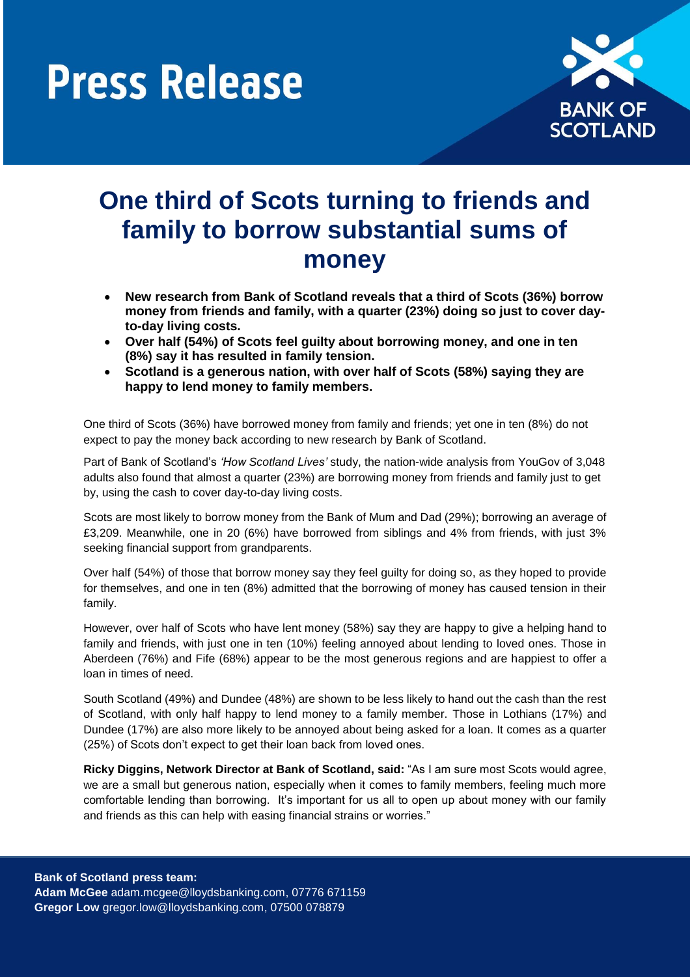

### **One third of Scots turning to friends and family to borrow substantial sums of money**

- **New research from Bank of Scotland reveals that a third of Scots (36%) borrow money from friends and family, with a quarter (23%) doing so just to cover dayto-day living costs.**
- **Over half (54%) of Scots feel guilty about borrowing money, and one in ten (8%) say it has resulted in family tension.**
- **Scotland is a generous nation, with over half of Scots (58%) saying they are happy to lend money to family members.**

One third of Scots (36%) have borrowed money from family and friends; yet one in ten (8%) do not expect to pay the money back according to new research by Bank of Scotland.

Part of Bank of Scotland's *'How Scotland Lives'* study, the nation-wide analysis from YouGov of 3,048 adults also found that almost a quarter (23%) are borrowing money from friends and family just to get by, using the cash to cover day-to-day living costs.

Scots are most likely to borrow money from the Bank of Mum and Dad (29%); borrowing an average of £3,209. Meanwhile, one in 20 (6%) have borrowed from siblings and 4% from friends, with just 3% seeking financial support from grandparents.

Over half (54%) of those that borrow money say they feel guilty for doing so, as they hoped to provide for themselves, and one in ten (8%) admitted that the borrowing of money has caused tension in their family.

However, over half of Scots who have lent money (58%) say they are happy to give a helping hand to family and friends, with just one in ten (10%) feeling annoyed about lending to loved ones. Those in Aberdeen (76%) and Fife (68%) appear to be the most generous regions and are happiest to offer a loan in times of need.

South Scotland (49%) and Dundee (48%) are shown to be less likely to hand out the cash than the rest of Scotland, with only half happy to lend money to a family member. Those in Lothians (17%) and Dundee (17%) are also more likely to be annoyed about being asked for a loan. It comes as a quarter (25%) of Scots don't expect to get their loan back from loved ones.

**Ricky Diggins, Network Director at Bank of Scotland, said:** "As I am sure most Scots would agree, we are a small but generous nation, especially when it comes to family members, feeling much more comfortable lending than borrowing. It's important for us all to open up about money with our family and friends as this can help with easing financial strains or worries."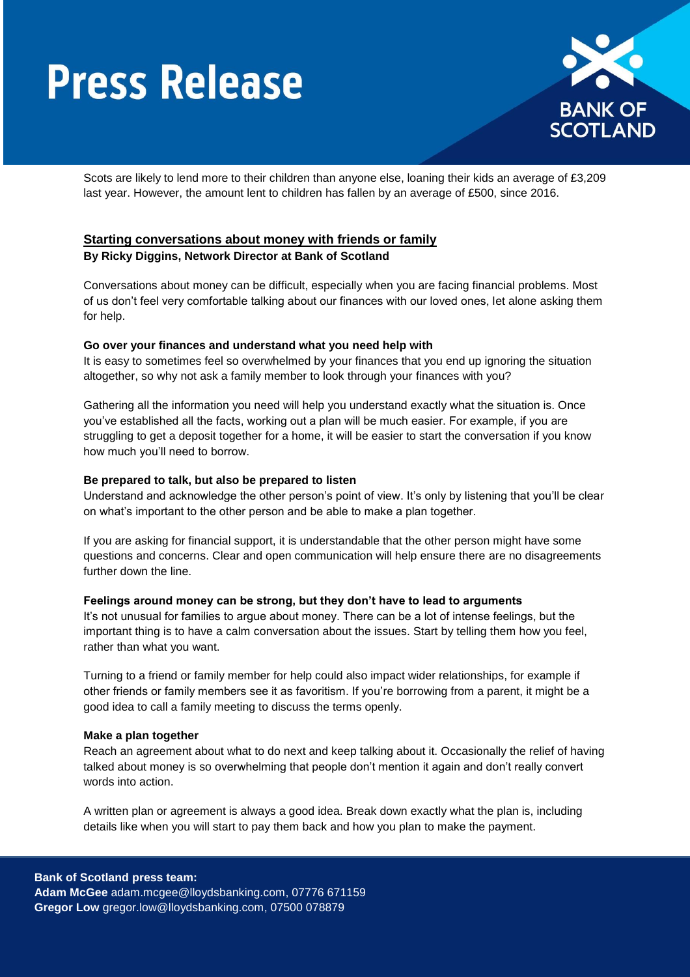

Scots are likely to lend more to their children than anyone else, loaning their kids an average of £3,209 last year. However, the amount lent to children has fallen by an average of £500, since 2016.

### **Starting conversations about money with friends or family**

#### **By Ricky Diggins, Network Director at Bank of Scotland**

Conversations about money can be difficult, especially when you are facing financial problems. Most of us don't feel very comfortable talking about our finances with our loved ones, let alone asking them for help.

#### **Go over your finances and understand what you need help with**

It is easy to sometimes feel so overwhelmed by your finances that you end up ignoring the situation altogether, so why not ask a family member to look through your finances with you?

Gathering all the information you need will help you understand exactly what the situation is. Once you've established all the facts, working out a plan will be much easier. For example, if you are struggling to get a deposit together for a home, it will be easier to start the conversation if you know how much you'll need to borrow.

#### **Be prepared to talk, but also be prepared to listen**

Understand and acknowledge the other person's point of view. It's only by listening that you'll be clear on what's important to the other person and be able to make a plan together.

If you are asking for financial support, it is understandable that the other person might have some questions and concerns. Clear and open communication will help ensure there are no disagreements further down the line.

#### **Feelings around money can be strong, but they don't have to lead to arguments**

It's not unusual for families to argue about money. There can be a lot of intense feelings, but the important thing is to have a calm conversation about the issues. Start by telling them how you feel, rather than what you want.

Turning to a friend or family member for help could also impact wider relationships, for example if other friends or family members see it as favoritism. If you're borrowing from a parent, it might be a good idea to call a family meeting to discuss the terms openly.

#### **Make a plan together**

Reach an agreement about what to do next and keep talking about it. Occasionally the relief of having talked about money is so overwhelming that people don't mention it again and don't really convert words into action.

A written plan or agreement is always a good idea. Break down exactly what the plan is, including details like when you will start to pay them back and how you plan to make the payment.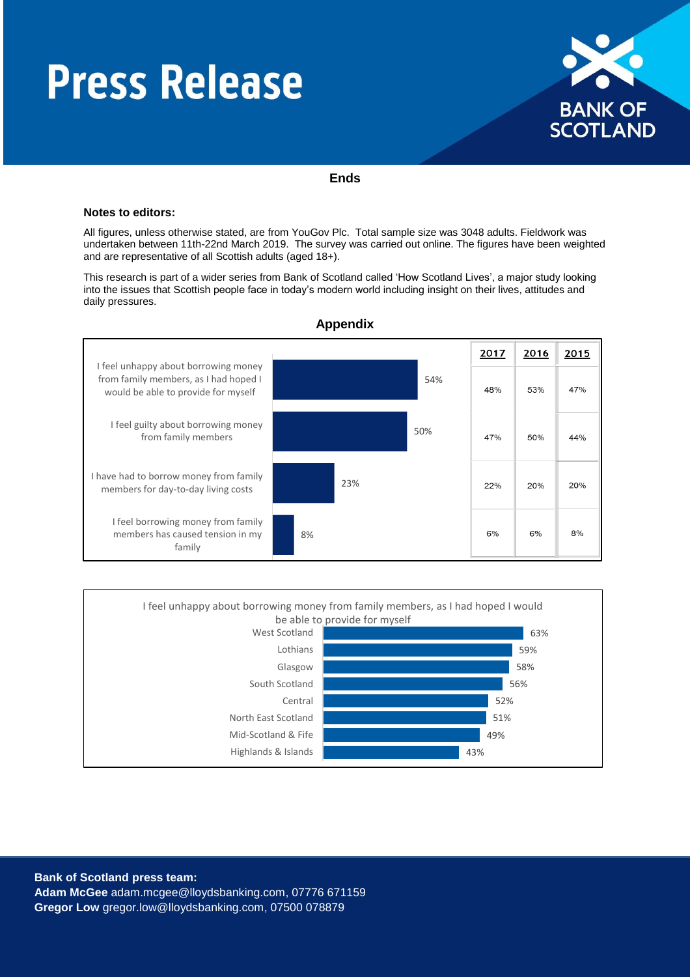

#### **Ends**

#### **Notes to editors:**

All figures, unless otherwise stated, are from YouGov Plc. Total sample size was 3048 adults. Fieldwork was undertaken between 11th-22nd March 2019. The survey was carried out online. The figures have been weighted and are representative of all Scottish adults (aged 18+).

This research is part of a wider series from Bank of Scotland called 'How Scotland Lives', a major study looking into the issues that Scottish people face in today's modern world including insight on their lives, attitudes and daily pressures.



**Appendix**



**Bank of Scotland press team: Adam McGee** [adam.mcgee@lloydsbanking.com,](mailto:olwen.morris-jones@lloydsbanking.com) 07776 671159 **Gregor Low** gregor.low@lloydsbanking.com, 07500 078879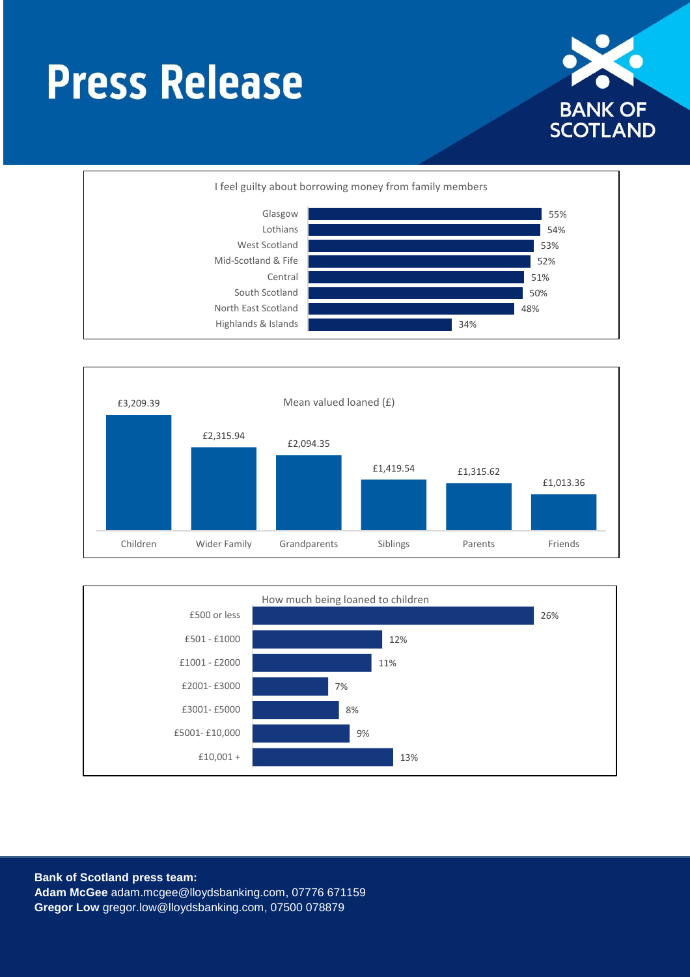







**Bank of Scotland press team: Adam McGee** [adam.mcgee@lloydsbanking.com,](mailto:olwen.morris-jones@lloydsbanking.com) 07776 671159 **Gregor Low** gregor.low@lloydsbanking.com, 07500 078879